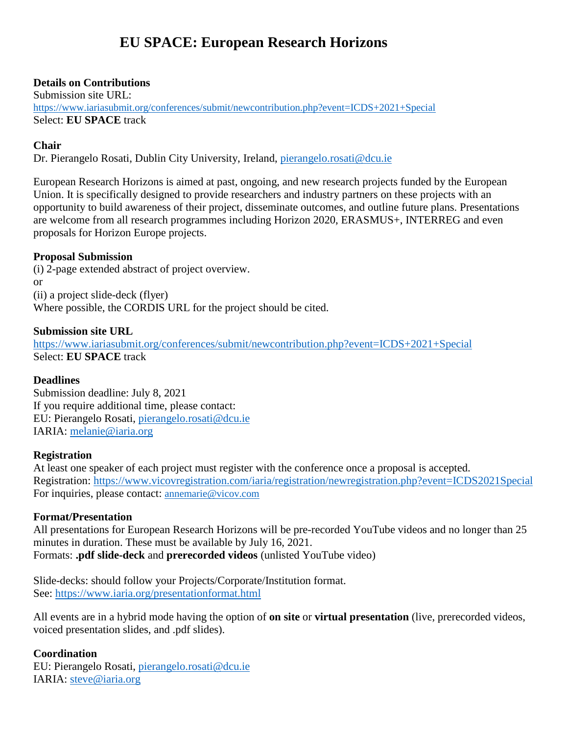# **EU SPACE: European Research Horizons**

## **Details on Contributions**

Submission site URL: <https://www.iariasubmit.org/conferences/submit/newcontribution.php?event=ICDS+2021+Special> Select: **EU SPACE** track

## **Chair**

Dr. Pierangelo Rosati, Dublin City University, Ireland, [pierangelo.rosati@dcu.ie](mailto:pierangelo.rosati@dcu.ie)

European Research Horizons is aimed at past, ongoing, and new research projects funded by the European Union. It is specifically designed to provide researchers and industry partners on these projects with an opportunity to build awareness of their project, disseminate outcomes, and outline future plans. Presentations are welcome from all research programmes including Horizon 2020, ERASMUS+, INTERREG and even proposals for Horizon Europe projects.

## **Proposal Submission**

(i) 2-page extended abstract of project overview. or (ii) a project slide-deck (flyer) Where possible, the CORDIS URL for the project should be cited.

### **Submission site URL**

<https://www.iariasubmit.org/conferences/submit/newcontribution.php?event=ICDS+2021+Special> Select: **EU SPACE** track

#### **Deadlines**

Submission deadline: July 8, 2021 If you require additional time, please contact: EU: Pierangelo Rosati, [pierangelo.rosati@dcu.ie](mailto:pierangelo.rosati@dcu.ie) IARIA: [melanie@iaria.org](mailto:melanie@iaria.org)

## **Registration**

At least one speaker of each project must register with the conference once a proposal is accepted. Registration: <https://www.vicovregistration.com/iaria/registration/newregistration.php?event=ICDS2021Special> For inquiries, please contact: [annemarie@vicov.com](mailto:annemarie@vicov.com)

## **Format/Presentation**

All presentations for European Research Horizons will be pre-recorded YouTube videos and no longer than 25 minutes in duration. These must be available by July 16, 2021. Formats: **.pdf slide-deck** and **prerecorded videos** (unlisted YouTube video)

Slide-decks: should follow your Projects/Corporate/Institution format. See: <https://www.iaria.org/presentationformat.html>

All events are in a hybrid mode having the option of **on site** or **virtual presentation** (live, prerecorded videos, voiced presentation slides, and .pdf slides).

## **Coordination**

EU: Pierangelo Rosati, [pierangelo.rosati@dcu.ie](mailto:pierangelo.rosati@dcu.ie) IARIA: [steve@iaria.org](mailto:steve@iaria.org)